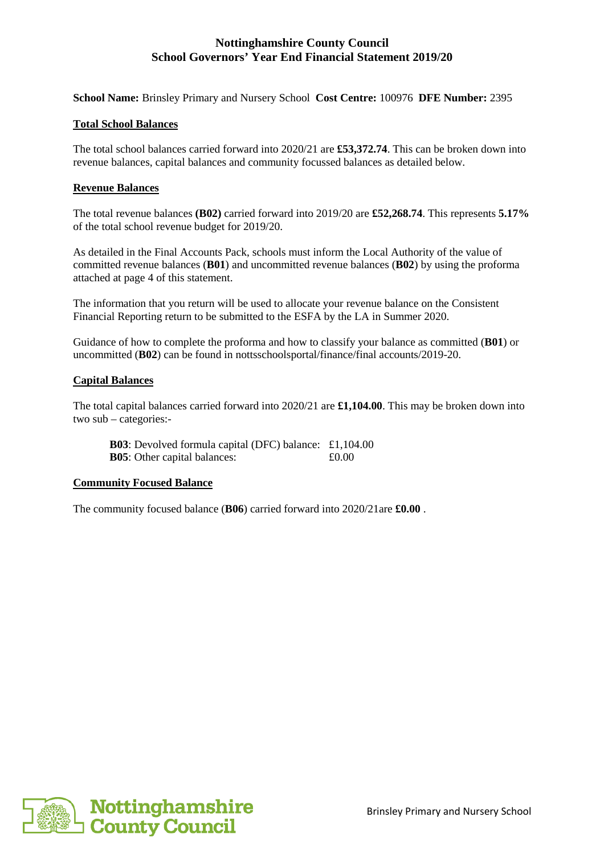**School Name:** Brinsley Primary and Nursery School **Cost Centre:** 100976 **DFE Number:** 2395

### **Total School Balances**

The total school balances carried forward into 2020/21 are **£53,372.74**. This can be broken down into revenue balances, capital balances and community focussed balances as detailed below.

### **Revenue Balances**

The total revenue balances **(B02)** carried forward into 2019/20 are **£52,268.74**. This represents **5.17%** of the total school revenue budget for 2019/20.

As detailed in the Final Accounts Pack, schools must inform the Local Authority of the value of committed revenue balances (**B01**) and uncommitted revenue balances (**B02**) by using the proforma attached at page 4 of this statement.

The information that you return will be used to allocate your revenue balance on the Consistent Financial Reporting return to be submitted to the ESFA by the LA in Summer 2020.

Guidance of how to complete the proforma and how to classify your balance as committed (**B01**) or uncommitted (**B02**) can be found in nottsschoolsportal/finance/final accounts/2019-20.

### **Capital Balances**

The total capital balances carried forward into 2020/21 are **£1,104.00**. This may be broken down into two sub – categories:-

**B03**: Devolved formula capital (DFC) balance: £1,104.00 **B05**: Other capital balances:  $\pounds 0.00$ 

### **Community Focused Balance**

The community focused balance (**B06**) carried forward into 2020/21are **£0.00** .

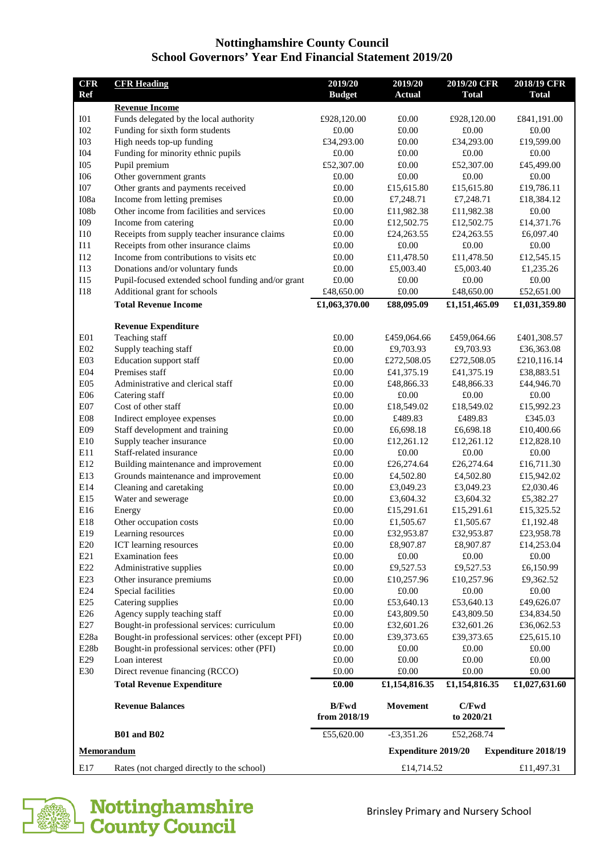| <b>CFR</b>        | <b>CFR Heading</b>                                                | 2019/20             | 2019/20                    | 2019/20 CFR              | 2018/19 CFR                |
|-------------------|-------------------------------------------------------------------|---------------------|----------------------------|--------------------------|----------------------------|
| <b>Ref</b>        |                                                                   | <b>Budget</b>       | <b>Actual</b>              | <b>Total</b>             | <b>Total</b>               |
|                   | <b>Revenue Income</b>                                             |                     |                            |                          |                            |
| I <sub>01</sub>   | Funds delegated by the local authority                            | £928,120.00         | £0.00                      | £928,120.00              | £841,191.00                |
| <b>I02</b>        | Funding for sixth form students                                   | £0.00               | £0.00                      | £0.00                    | £0.00                      |
| <b>I03</b>        | High needs top-up funding                                         | £34,293.00          | £0.00                      | £34,293.00               | £19,599.00                 |
| <b>I04</b>        | Funding for minority ethnic pupils                                | £0.00               | £0.00                      | £0.00                    | £0.00                      |
| <b>I05</b>        | Pupil premium                                                     | £52,307.00          | £0.00                      | £52,307.00               | £45,499.00                 |
| <b>I06</b>        | Other government grants                                           | £0.00               | £0.00                      | £0.00                    | £0.00                      |
| <b>I07</b>        | Other grants and payments received                                | £0.00               | £15,615.80                 | £15,615.80               | £19,786.11                 |
| I08a              | Income from letting premises                                      | £0.00               | £7,248.71                  | £7,248.71                | £18,384.12                 |
| I08b<br>I09       | Other income from facilities and services<br>Income from catering | £0.00<br>£0.00      | £11,982.38                 | £11,982.38               | £0.00<br>£14,371.76        |
| <b>I10</b>        | Receipts from supply teacher insurance claims                     | £0.00               | £12,502.75<br>£24,263.55   | £12,502.75<br>£24,263.55 | £6,097.40                  |
| I11               | Receipts from other insurance claims                              | £0.00               | £0.00                      | £0.00                    | £0.00                      |
| I12               | Income from contributions to visits etc.                          | £0.00               | £11,478.50                 | £11,478.50               | £12,545.15                 |
| I13               | Donations and/or voluntary funds                                  | £0.00               | £5,003.40                  | £5,003.40                | £1,235.26                  |
| I15               | Pupil-focused extended school funding and/or grant                | £0.00               | £0.00                      | £0.00                    | £0.00                      |
| <b>I18</b>        | Additional grant for schools                                      | £48,650.00          | £0.00                      | £48,650.00               | £52,651.00                 |
|                   | <b>Total Revenue Income</b>                                       | £1,063,370.00       | £88,095.09                 | £1,151,465.09            | £1,031,359.80              |
|                   |                                                                   |                     |                            |                          |                            |
|                   | <b>Revenue Expenditure</b>                                        |                     |                            |                          |                            |
| E <sub>01</sub>   | Teaching staff                                                    | £0.00               | £459,064.66                | £459,064.66              | £401,308.57                |
| E02               | Supply teaching staff                                             | £0.00               | £9,703.93                  | £9,703.93                | £36,363.08                 |
| E03               | Education support staff                                           | £0.00               | £272,508.05                | £272,508.05              | £210,116.14                |
| E04               | Premises staff                                                    | £0.00               | £41,375.19                 | £41,375.19               | £38,883.51                 |
| E05               | Administrative and clerical staff                                 | £0.00               | £48,866.33                 | £48,866.33               | £44,946.70                 |
| E06               | Catering staff                                                    | £0.00               | £0.00                      | £0.00                    | £0.00                      |
| E <sub>07</sub>   | Cost of other staff                                               | £0.00               | £18,549.02                 | £18,549.02               | £15,992.23                 |
| E08               | Indirect employee expenses                                        | £0.00               | £489.83                    | £489.83                  | £345.03                    |
| E09               | Staff development and training                                    | £0.00               | £6,698.18                  | £6,698.18                | £10,400.66                 |
| E10               | Supply teacher insurance                                          | £0.00               | £12,261.12                 | £12,261.12               | £12,828.10                 |
| E11               | Staff-related insurance                                           | £0.00               | £0.00                      | £0.00                    | £0.00                      |
| E12               | Building maintenance and improvement                              | £0.00               | £26,274.64                 | £26,274.64               | £16,711.30<br>£15,942.02   |
| E13               | Grounds maintenance and improvement                               | £0.00               |                            | £4,502.80<br>£4,502.80   |                            |
| E14               | Cleaning and caretaking                                           | £0.00               | £3,049.23<br>£3,049.23     |                          | £2,030.46                  |
| E15               | Water and sewerage                                                | £0.00               | £3,604.32<br>£3,604.32     |                          | £5,382.27                  |
| E16<br>E18        | Energy                                                            | £0.00<br>£0.00      | £15,291.61                 | £15,291.61               | £15,325.52                 |
| E19               | Other occupation costs                                            | $\pounds0.00$       | £1,505.67<br>£32,953.87    | £1,505.67<br>£32,953.87  | £1,192.48<br>£23,958.78    |
| E20               | Learning resources<br>ICT learning resources                      | $\pounds0.00$       | £8,907.87                  | £8,907.87                | £14,253.04                 |
| E21               | <b>Examination</b> fees                                           | $\pounds0.00$       | $\pounds0.00$              | $\pounds0.00$            | $\pounds0.00$              |
| E22               | Administrative supplies                                           | £0.00               | £9,527.53                  | £9,527.53                | £6,150.99                  |
| E23               | Other insurance premiums                                          | £0.00               | £10,257.96                 | £10,257.96               | £9,362.52                  |
| E24               | Special facilities                                                | £0.00               | $\pounds0.00$<br>£0.00     |                          | £0.00                      |
| E25               | Catering supplies                                                 | £0.00               | £53,640.13                 | £53,640.13               | £49,626.07                 |
| E26               | Agency supply teaching staff                                      | £0.00               | £43,809.50                 | £43,809.50               | £34,834.50                 |
| E27               | Bought-in professional services: curriculum                       | £0.00               | £32,601.26                 | £32,601.26               | £36,062.53                 |
| E <sub>28</sub> a | Bought-in professional services: other (except PFI)               | £0.00               | £39,373.65                 | £39,373.65               | £25,615.10                 |
| E <sub>28</sub> b | Bought-in professional services: other (PFI)                      | £0.00               | £0.00                      | £0.00                    | £0.00                      |
| E29               | Loan interest                                                     | $\pounds0.00$       | £0.00                      | $\pounds0.00$            | $\pounds0.00$              |
| E30               | Direct revenue financing (RCCO)                                   | £0.00               | £0.00                      | £0.00                    | £0.00                      |
|                   | <b>Total Revenue Expenditure</b>                                  | $\pmb{\pounds}0.00$ | £1,154,816.35              | £1,154,816.35            | £1,027,631.60              |
|                   | <b>Revenue Balances</b>                                           | <b>B/Fwd</b>        | Movement                   | C/Fwd                    |                            |
|                   |                                                                   | from 2018/19        |                            | to 2020/21               |                            |
|                   | <b>B01 and B02</b>                                                | £55,620.00          | $-£3,351.26$               | £52,268.74               |                            |
|                   | Memorandum                                                        |                     | <b>Expenditure 2019/20</b> |                          | <b>Expenditure 2018/19</b> |
| E17               | Rates (not charged directly to the school)                        |                     | £14,714.52                 |                          | £11,497.31                 |

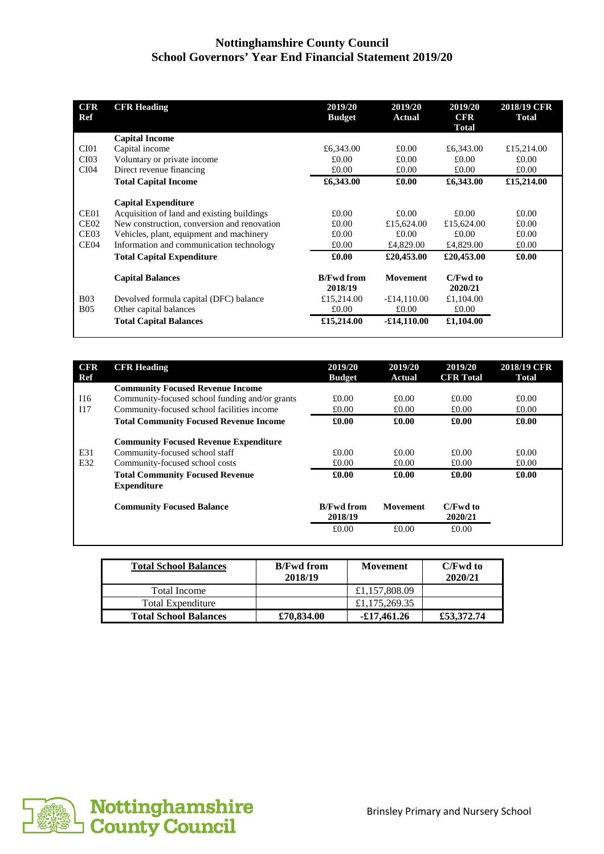| <b>CFR</b><br>Ref | <b>CFR Heading</b>                          | 2019/20<br><b>Budget</b>     | 2019/20<br><b>Actual</b> | 2019/20<br><b>CFR</b><br>Total | 2018/19 CFR<br><b>Total</b> |
|-------------------|---------------------------------------------|------------------------------|--------------------------|--------------------------------|-----------------------------|
|                   | <b>Capital Income</b>                       |                              |                          |                                |                             |
| CI01              | Capital income                              | £6,343.00                    | £0.00                    | £6,343.00                      | £15,214.00                  |
| CI03              | Voluntary or private income                 | £0.00                        | £0.00                    | £0.00                          | £0.00                       |
| CI04              | Direct revenue financing                    | £0.00                        | £0.00                    | £0.00                          | £0.00                       |
|                   | <b>Total Capital Income</b>                 | £6,343.00                    | £0.00                    | £6,343.00                      | £15,214.00                  |
|                   | <b>Capital Expenditure</b>                  |                              |                          |                                |                             |
| CE01              | Acquisition of land and existing buildings  | £0.00                        | £0.00                    | £0.00                          | £0.00                       |
| CE <sub>02</sub>  | New construction, conversion and renovation | £0.00                        | £15,624.00               | £15,624.00                     | £0.00                       |
| CE <sub>03</sub>  | Vehicles, plant, equipment and machinery    | £0.00                        | £0.00                    | £0.00                          | £0.00                       |
| CE04              | Information and communication technology    | £0.00                        | £4,829.00                | £4,829.00                      | £0.00                       |
|                   | <b>Total Capital Expenditure</b>            | £0.00                        | £20,453.00               | £20,453.00                     | £0.00                       |
|                   | <b>Capital Balances</b>                     | <b>B/Fwd from</b><br>2018/19 | <b>Movement</b>          | C/Fwd to<br>2020/21            |                             |
| <b>B03</b>        | Devolved formula capital (DFC) balance      | £15,214.00                   | $-£14,110.00$            | £1,104.00                      |                             |
| <b>B05</b>        | Other capital balances                      | £0.00                        | £0.00                    | £0.00                          |                             |
|                   | <b>Total Capital Balances</b>               | £15,214.00                   | $-£14,110.00$            | £1,104.00                      |                             |
|                   |                                             |                              |                          |                                |                             |

| <b>CFR</b><br>Ref | <b>CFR Heading</b>                                           | 2019/20<br><b>Budget</b>     | 2019/20<br><b>Actual</b> | 2019/20<br><b>CFR</b> Total | 2018/19 CFR<br><b>Total</b> |
|-------------------|--------------------------------------------------------------|------------------------------|--------------------------|-----------------------------|-----------------------------|
|                   | <b>Community Focused Revenue Income</b>                      |                              |                          |                             |                             |
| I16               | Community-focused school funding and/or grants               | £0.00                        | £0.00                    | £0.00                       | £0.00                       |
| 117               | Community-focused school facilities income                   | £0.00                        | £0.00                    | £0.00                       | £0.00                       |
|                   | <b>Total Community Focused Revenue Income</b>                | £0.00                        | £0.00                    | £0.00                       | £0.00                       |
|                   | <b>Community Focused Revenue Expenditure</b>                 |                              |                          |                             |                             |
| E31               | Community-focused school staff                               | £0.00                        | £0.00                    | £0.00                       | £0.00                       |
| E32               | Community-focused school costs                               | £0.00                        | £0.00                    | £0.00                       | £0.00                       |
|                   | <b>Total Community Focused Revenue</b><br><b>Expenditure</b> | £0.00                        | £0.00                    | £0.00                       | £0.00                       |
|                   | <b>Community Focused Balance</b>                             | <b>B/Fwd from</b><br>2018/19 | Movement                 | C/Fwd to<br>2020/21         |                             |
|                   |                                                              | £0.00                        | £0.00                    | £0.00                       |                             |

| <b>Total School Balances</b> | <b>B/Fwd from</b><br>2018/19 | Movement      | C/Fwd to<br>2020/21 |
|------------------------------|------------------------------|---------------|---------------------|
| Total Income                 |                              | £1,157,808.09 |                     |
| <b>Total Expenditure</b>     |                              | £1,175,269.35 |                     |
| <b>Total School Balances</b> | £70,834.00                   | $-£17,461,26$ | £53,372.74          |